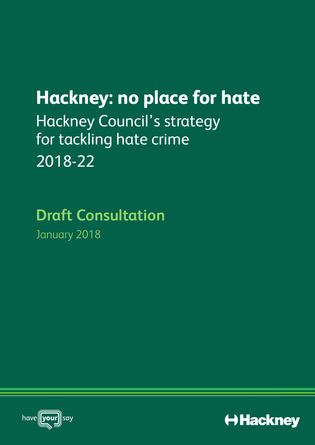# **Hackney: no place for hate** Hackney Council's strategy for tackling hate crime 2018-22

# **Draft Consultation** January 2018



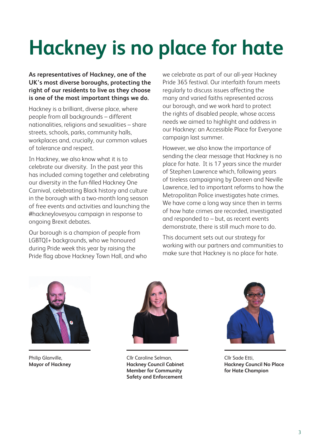# **Hackney is no place for hate**

**As representatives of Hackney, one of the UK's most diverse boroughs, protecting the right of our residents to live as they choose is one of the most important things we do.** 

Hackney is a brilliant, diverse place, where people from all backgrounds – different nationalities, religions and sexualities – share streets, schools, parks, community halls, workplaces and, crucially, our common values of tolerance and respect.

In Hackney, we also know what it is to celebrate our diversity. In the past year this has included coming together and celebrating our diversity in the fun-filled Hackney One Carnival, celebrating Black history and culture in the borough with a two-month long season of free events and activities and launching the #hackneylovesyou campaign in response to ongoing Brexit debates.

Our borough is a champion of people from LGBTQI+ backgrounds, who we honoured during Pride week this year by raising the Pride flag above Hackney Town Hall, and who we celebrate as part of our all-year Hackney Pride 365 festival. Our interfaith forum meets regularly to discuss issues affecting the many and varied faiths represented across our borough, and we work hard to protect the rights of disabled people, whose access needs we aimed to highlight and address in our Hackney: an Accessible Place for Everyone campaign last summer.

However, we also know the importance of sending the clear message that Hackney is no place for hate. It is 17 years since the murder of Stephen Lawrence which, following years of tireless campaigning by Doreen and Neville Lawrence, led to important reforms to how the Metropolitan Police investigates hate crimes. We have come a long way since then in terms of how hate crimes are recorded, investigated and responded to – but, as recent events demonstrate, there is still much more to do.

This document sets out our strategy for working with our partners and communities to make sure that Hackney is no place for hate.



Philip Glanville, **Mayor of Hackney**



Cllr Caroline Selman, **Hackney Council Cabinet Member for Community Safety and Enforcement**



Cllr Sade Etti, **Hackney Council No Place for Hate Champion**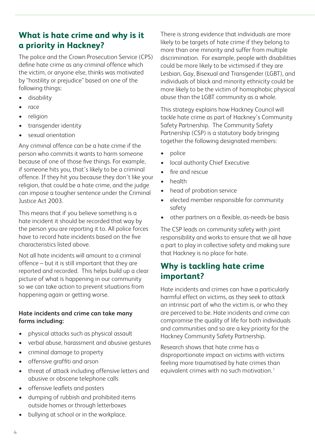# **What is hate crime and why is it a priority in Hackney?**

The police and the Crown Prosecution Service (CPS) define hate crime as any criminal offence which the victim, or anyone else, thinks was motivated by "hostility or prejudice" based on one of the following things:

- disability
- race
- religion
- transgender identity
- sexual orientation

Any criminal offence can be a hate crime if the person who commits it wants to harm someone because of one of those five things. For example, if someone hits you, that's likely to be a criminal offence. If they hit you because they don't like your religion, that could be a hate crime, and the judge can impose a tougher sentence under the Criminal Justice Act 2003.

This means that if you believe something is a hate incident it should be recorded that way by the person you are reporting it to. All police forces have to record hate incidents based on the five characteristics listed above.

Not all hate incidents will amount to a criminal offence – but it is still important that they are reported and recorded. This helps build up a clear picture of what is happening in our community so we can take action to prevent situations from happening again or getting worse.

#### **Hate incidents and crime can take many forms including:**

- physical attacks such as physical assault
- verbal abuse, harassment and abusive gestures
- criminal damage to property
- offensive graffiti and arson
- threat of attack including offensive letters and abusive or obscene telephone calls
- offensive leaflets and posters
- dumping of rubbish and prohibited items outside homes or through letterboxes
- bullying at school or in the workplace.

There is strong evidence that individuals are more likely to be targets of hate crime if they belong to more than one minority and suffer from multiple discrimination. For example, people with disabilities could be more likely to be victimised if they are Lesbian, Gay, Bisexual and Transgender (LGBT), and individuals of black and minority ethnicity could be more likely to be the victim of homophobic physical abuse than the LGBT community as a whole.

This strategy explains how Hackney Council will tackle hate crime as part of Hackney's Community Safety Partnership. The Community Safety Partnership (CSP) is a statutory body bringing together the following designated members:

- police
- local authority Chief Executive
- fire and rescue
- health
- head of probation service
- elected member responsible for community safety
- other partners on a flexible, as-needs-be basis

The CSP leads on community safety with joint responsibility and works to ensure that we all have a part to play in collective safety and making sure that Hackney is no place for hate.

### **Why is tackling hate crime important?**

Hate incidents and crimes can have a particularly harmful effect on victims, as they seek to attack an intrinsic part of who the victim is, or who they are perceived to be. Hate incidents and crime can compromise the quality of life for both individuals and communities and so are a key priority for the Hackney Community Safety Partnership.

Research shows that hate crime has a disproportionate impact on victims with victims feeling more traumatised by hate crimes than equivalent crimes with no such motivation.<sup>1</sup>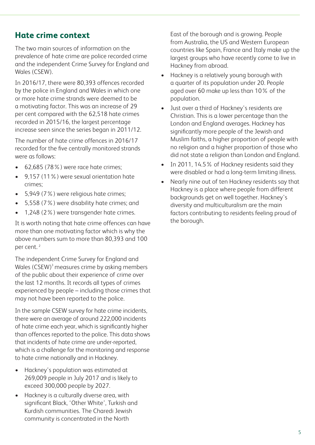### **Hate crime context**

The two main sources of information on the prevalence of hate crime are police recorded crime and the independent Crime Survey for England and Wales (CSEW).

In 2016/17, there were 80,393 offences recorded by the police in England and Wales in which one or more hate crime strands were deemed to be a motivating factor. This was an increase of 29 per cent compared with the 62,518 hate crimes recorded in 2015/16, the largest percentage increase seen since the series began in 2011/12.

The number of hate crime offences in 2016/17 recorded for the five centrally monitored strands were as follows:

- 62,685 (78%) were race hate crimes;
- 9,157 (11%) were sexual orientation hate crimes;
- 5,949 (7%) were religious hate crimes:
- 5,558 (7%) were disability hate crimes; and
- 1,248 (2%) were transgender hate crimes.

It is worth noting that hate crime offences can have more than one motivating factor which is why the above numbers sum to more than 80,393 and 100 per cent.<sup>2</sup>

The independent Crime Survey for England and Wales  $(CSEW)^3$  measures crime by asking members of the public about their experience of crime over the last 12 months. It records all types of crimes experienced by people – including those crimes that may not have been reported to the police.

In the sample CSEW survey for hate crime incidents, there were an average of around 222,000 incidents of hate crime each year, which is significantly higher than offences reported to the police. This data shows that incidents of hate crime are under-reported, which is a challenge for the monitoring and response to hate crime nationally and in Hackney.

- Hackney's population was estimated at 269,009 people in July 2017 and is likely to exceed 300,000 people by 2027.
- Hackney is a culturally diverse area, with significant Black, 'Other White', Turkish and Kurdish communities. The Charedi Jewish community is concentrated in the North

East of the borough and is growing. People from Australia, the US and Western European countries like Spain, France and Italy make up the largest groups who have recently come to live in Hackney from abroad.

- Hackney is a relatively young borough with a quarter of its population under 20. People aged over 60 make up less than 10% of the population.
- Just over a third of Hackney's residents are Christian. This is a lower percentage than the London and England averages. Hackney has significantly more people of the Jewish and Muslim faiths, a higher proportion of people with no religion and a higher proportion of those who did not state a religion than London and England.
- In 2011, 14.5% of Hackney residents said they were disabled or had a long-term limiting illness.
- Nearly nine out of ten Hackney residents say that Hackney is a place where people from different backgrounds get on well together. Hackney's diversity and multiculturalism are the main factors contributing to residents feeling proud of the borough.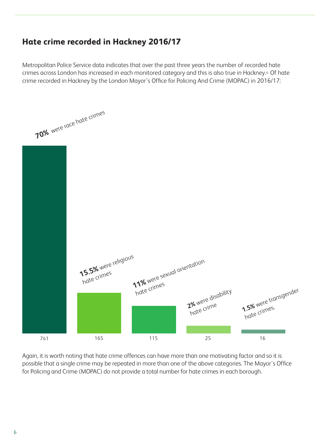# **Hate crime recorded in Hackney 2016/17**

Metropolitan Police Service data indicates that over the past three years the number of recorded hate crimes across London has increased in each monitored category and this is also true in Hackney.4 Of hate crime recorded in Hackney by the London Mayor's Office for Policing And Crime (MOPAC) in 2016/17:



Again, it is worth noting that hate crime offences can have more than one motivating factor and so it is possible that a single crime may be repeated in more than one of the above categories. The Mayor's Office for Policing and Crime (MOPAC) do not provide a total number for hate crimes in each borough.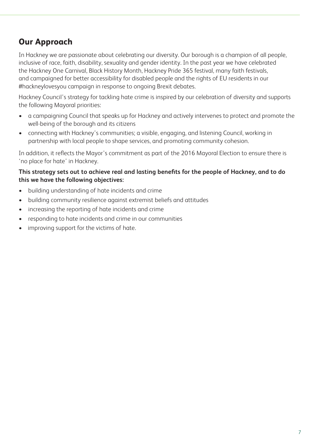# **Our Approach**

In Hackney we are passionate about celebrating our diversity. Our borough is a champion of all people, inclusive of race, faith, disability, sexuality and gender identity. In the past year we have celebrated the Hackney One Carnival, Black History Month, Hackney Pride 365 festival, many faith festivals, and campaigned for better accessibility for disabled people and the rights of EU residents in our #hackneylovesyou campaign in response to ongoing Brexit debates.

Hackney Council's strategy for tackling hate crime is inspired by our celebration of diversity and supports the following Mayoral priorities:

- a campaigning Council that speaks up for Hackney and actively intervenes to protect and promote the well-being of the borough and its citizens
- connecting with Hackney's communities; a visible, engaging, and listening Council, working in partnership with local people to shape services, and promoting community cohesion.

In addition, it reflects the Mayor's commitment as part of the 2016 Mayoral Election to ensure there is 'no place for hate' in Hackney.

#### **This strategy sets out to achieve real and lasting benefits for the people of Hackney, and to do this we have the following objectives:**

- building understanding of hate incidents and crime
- building community resilience against extremist beliefs and attitudes
- increasing the reporting of hate incidents and crime
- responding to hate incidents and crime in our communities
- improving support for the victims of hate.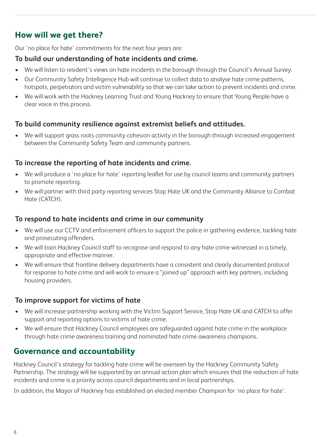# **How will we get there?**

Our 'no place for hate' commitments for the next four years are:

#### **To build our understanding of hate incidents and crime.**

- We will listen to resident's views on hate incidents in the borough through the Council's Annual Survey.
- Our Community Safety Intelligence Hub will continue to collect data to analyse hate crime patterns, hotspots, perpetrators and victim vulnerability so that we can take action to prevent incidents and crime.
- We will work with the Hackney Learning Trust and Young Hackney to ensure that Young People have a clear voice in this process.

#### **To build community resilience against extremist beliefs and attitudes.**

We will support grass roots community cohesion activity in the borough through increased engagement between the Community Safety Team and community partners.

#### **To increase the reporting of hate incidents and crime.**

- We will produce a 'no place for hate' reporting leaflet for use by council teams and community partners to promote reporting.
- We will partner with third party reporting services Stop Hate UK and the Community Alliance to Combat Hate (CATCH).

#### **To respond to hate incidents and crime in our community**

- We will use our CCTV and enforcement officers to support the police in gathering evidence, tackling hate and prosecuting offenders.
- We will train Hackney Council staff to recognise and respond to any hate crime witnessed in a timely, appropriate and effective manner.
- We will ensure that frontline delivery departments have a consistent and clearly documented protocol for response to hate crime and will work to ensure a "joined up" approach with key partners, including housing providers.

#### **To improve support for victims of hate**

- We will increase partnership working with the Victim Support Service, Stop Hate UK and CATCH to offer support and reporting options to victims of hate crime.
- We will ensure that Hackney Council employees are safeguarded against hate crime in the workplace through hate crime awareness training and nominated hate crime awareness champions.

## **Governance and accountability**

Hackney Council's strategy for tackling hate crime will be overseen by the Hackney Community Safety Partnership. The strategy will be supported by an annual action plan which ensures that the reduction of hate incidents and crime is a priority across council departments and in local partnerships.

In addition, the Mayor of Hackney has established an elected member Champion for 'no place for hate'.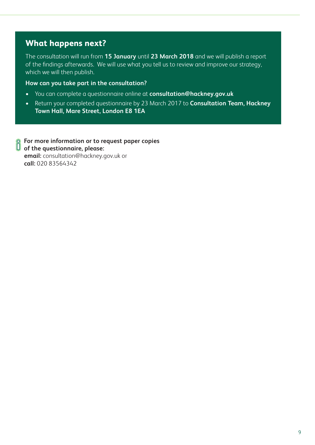### **What happens next?**

The consultation will run from **15 January** until **23 March 2018** and we will publish a report of the findings afterwards. We will use what you tell us to review and improve our strategy, which we will then publish.

#### **How can you take part in the consultation?**

- You can complete a questionnaire online at **consultation@hackney.gov.uk**
- Return your completed questionnaire by 23 March 2017 to **Consultation Team, Hackney Town Hall, Mare Street, London E8 1EA**

**Solution Formation or to request paper copies**<br> **C** of the questionnairs of **of the questionnaire, please: email:** consultation@hackney.gov.uk or **call:** 020 83564342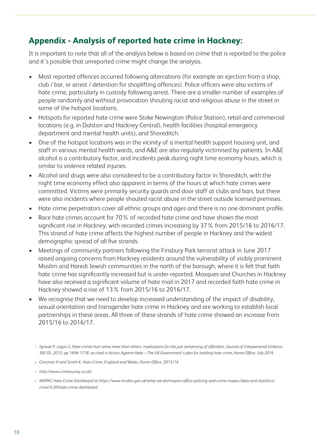# **Appendix - Analysis of reported hate crime in Hackney:**

It is important to note that all of the analysis below is based on crime that is reported to the police and it's possible that unreported crime might change the analysis.

- Most reported offences occurred following altercations (for example an ejection from a shop, club / bar, or arrest / detention for shoplifting offences). Police officers were also victims of hate crime, particularly in custody following arrest. There are a smaller number of examples of people randomly and without provocation shouting racist and religious abuse in the street in some of the hotspot locations.
- Hotspots for reported hate crime were Stoke Newington (Police Station), retail and commercial locations (e.g. in Dalston and Hackney Central), health facilities (hospital emergency department and mental health units), and Shoreditch.
- One of the hotspot locations was in the vicinity of a mental health support housing unit, and staff in various mental health wards, and A&E are also regularly victimised by patients. In A&E alcohol is a contributory factor, and incidents peak during night time economy hours, which is similar to violence related injuries.
- Alcohol and drugs were also considered to be a contributory factor in Shoreditch, with the night time economy effect also apparent in terms of the hours at which hate crimes were committed. Victims were primarily security guards and door staff at clubs and bars, but there were also incidents where people shouted racist abuse in the street outside licensed premises.
- Hate crime perpetrators cover all ethnic groups and ages and there is no one dominant profile.
- Race hate crimes account for 70% of recorded hate crime and have shown the most significant rise in Hackney, with recorded crimes increasing by 37% from 2015/16 to 2016/17. This strand of hate crime affects the highest number of people in Hackney and the widest demographic spread of all five strands.
- Meetings of community partners following the Finsbury Park terrorist attack in June 2017 raised ongoing concerns from Hackney residents around the vulnerability of visibly prominent Muslim and Haredi Jewish communities in the north of the borough, where it is felt that faith hate crime has significantly increased but is under-reported. Mosques and Churches in Hackney have also received a significant volume of hate mail in 2017 and recorded faith hate crime in Hackney showed a rise of 13% from 2015/16 to 2016/17.
- We recognise that we need to develop increased understanding of the impact of disability, sexual orientation and transgender hate crime in Hackney and are working to establish local partnerships in these areas. All three of these strands of hate crime showed an increase from 2015/16 to 2016/17.

- *Corcoran H and Smith K, Hate Crime, England and Wales, Home Office, 2015/16* 2.
- *http://www.crimesurvey.co.uk/* 3.
- *MOPAC Hate Crime Dashboard at https://www.london.gov.uk/what-we-do/mayors-office-policing-and-crime-mopac/data-and-statistics/* 4.*crime%20/hate-crime-dashboard*

<sup>&</sup>lt;sup>1.</sup> Ignaski P, Lagou S, Hate crimes hurt some more than others: implications for the just sentencing of offenders, Journal of Interpersonal Violence *30(10), 2015: pp 1696-1718, as cited in Action Against Hate – The UK Government's plan for tackling hate crime, Home Office, July 2016*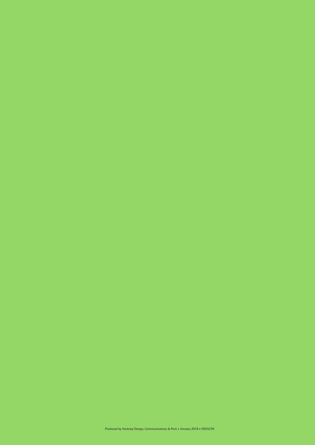Produced by Hackney Design, Communications & Print • January 2018 • HDS5239